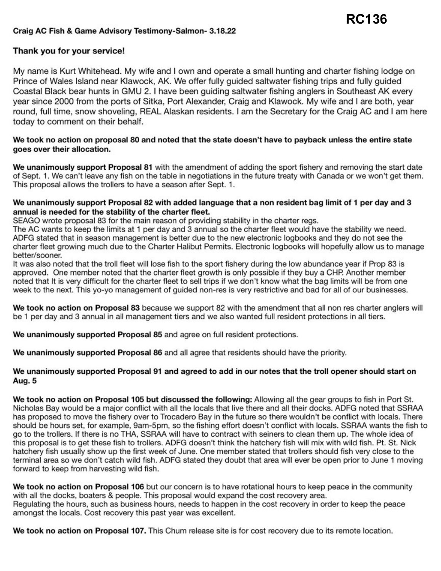# Craig **AC Fish** & **Game Advisory [Testimony-Salmon-](https://Testimony-Salmon-3.18.22) 3.18.22**

## **Thank you for your service!**

My name is Kurt Whitehead. My wife and I own and operate a small hunting and charter fishing lodge on Prince of Wales Island near Klawock, AK. We offer fully guided saltwater fishing trips and fully guided Coastal Black bear hunts in GMU 2. I have been guiding saltwater fishing anglers in Southeast AK every year since 2000 from the ports of Sitka, Port Alexander, Craig and Klawock. My wife and I are both, year round, full **time,** snow shoveling, REAL Alaskan residents. I am the Secretary for the Craig AC and I am here today to comment on their behalf.

#### We took no action on proposal 80 and noted that the state doesn't have to payback unless the entire state **goes over their allocation.**

**We unanimously support Proposal 81** with the amendment of adding the sport fishery and removing the start date of Sept. 1. We can't leave any fish on the table in negotiations in the future treaty with Canada or we won't get them. This proposal allows the trollers to have a season after Sept. 1.

#### **We unanimously support Proposal 82 with added language that a non resident bag limit of 1 per day and 3 annual is needed for the stability of the charter fleet.**

SEAGO wrote proposal 83 for the main reason of providing stability in the charter regs.

The AC wants to keep the limits at 1 per day and 3 annual so the charter fleet would have the stability we need. ADFG stated that in season management is better due to the new electronic logbooks and they do not see the charter fleet growing much due to the Charter Halibut Permits. Electronic logbooks will hopefully allow us to manage better/sooner.

It was also noted that the troll fleet will lose fish to the sport fishery during the low abundance year if Prop 83 is approved. One member noted that the charter fleet growth is only possible if they buy a CHP. Another member noted that It is very difficult for the charter fleet to sell trips if we don't know what the bag limits will be from one week to the next. This yo-yo management of guided non-res is very restrictive and bad for all of our businesses.

We took no action on Proposal 83 because we support 82 with the amendment that all non res charter anglers will be 1 per day and 3 annual in all management tiers and we also wanted full resident protections in all tiers.

**We unanimously supported Proposal 85** and agree on full resident protections.

**We unanimously supported Proposal 86** and all agree that residents should have the priority.

### We unanimously supported Proposal 91 and agreed to add in our notes that the troll opener should start on Aug. 5

We took no action on Proposal 105 but discussed the following: Allowing all the gear groups to fish in Port St. Nicholas Bay would be a major conflict with all the locals that live there and all their docks. ADFG noted that SSRAA has proposed to move the fishery over to Trocadero Bay in the future so there wouldn't be conflict with locals. There should be hours set, for example, 9am-5pm, so the fishing effort doesn't conflict with locals. SSRAA wants the fish to go to the trollers. If there is no THA, SSRAA will have to contract with seiners to clean them up. The whole idea of this proposal is to get these fish to trollers. ADFG doesn't think the hatchery fish will mix with wild fish. Pt. St. Nick hatchery fish usually show up the first week of June. One member stated that trollers should fish very close to the terminal area so we don't catch wild fish. AOFG stated they doubt that area will ever be open prior to June 1 moving forward to keep from harvesting wild fish.

We took no action on Proposal 106 but our concern is to have rotational hours to keep peace in the community with all the docks, boaters & people. This proposal would expand the cost recovery area. Regulating the hours, such as business hours, needs to happen in the cost recovery in order to keep the peace amongst the locals. Cost recovery this past year was excellent.

We took no action on Proposal 107. This Chum release site is for cost recovery due to its remote location.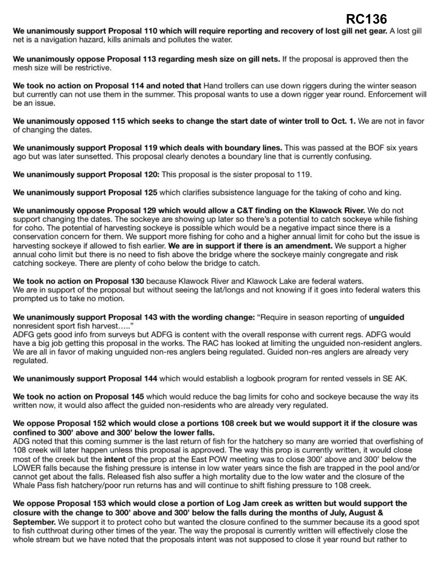We unanimously support Proposal 110 which will require reporting and recovery of lost gill net gear. A lost gill net is a navigation hazard, kills animals and pollutes the water.

**We unanimously oppose Proposal 113 regarding mesh size on gill nets.** If the proposal is approved then the mesh size will be restrictive.

We took no action on Proposal 114 and noted that Hand trollers can use down riggers during the winter season but currently can not use them in the summer. This proposal wants to use a down rigger year round. Enforcement will be an issue.

We unanimously opposed 115 which seeks to change the start date of winter troll to Oct. 1. We are not in favor of changing the dates.

**We unanimously support Proposal 119 which deals with boundary lines.** This was passed at the BOF six years ago but was later sunsetted. This proposal clearly denotes a boundary line that is currently confusing.

We unanimously support Proposal 120: This proposal is the sister proposal to 119.

**We unanimously support Proposal 125** which clarifies subsistence language for the taking of coho and king.

**We unanimously oppose Proposal 129 which would allow a C&T finding on the Klawock River.** We do not support changing the dates. The sockeye are showing up later so there's a potential to catch sockeye while fishing for coho. The potential of harvesting sockeye is possible which would be a negative impact since there is a conservation concern for them. We support more fishing for coho and a higher annual limit for coho but the issue is harvesting sockeye if allowed to fish earlier. **We are in support if there is an amendment.** We support a lhigher annual coho limit but there is no need to fish above the bridge where the sockeye mainly congregate and risk catching sockeye. There are plenty of coho below the bridge to catch.

We took no action on Proposal 130 because Klawock River and Klawock Lake are federal waters. We are in support of the proposal but without seeing the lat/longs and not knowing if it goes into federal waters this prompted us to take no motion.

We unanimously support Proposal 143 with the wording change: "Require in season reporting of unguided nonresident sport fish harvest....."

ADFG gets good info from surveys but ADFG is content with the overall response with current regs. ADFG would have a big job getting this proposal in the works. The RAC has looked at limiting the unguided non-resident anglers. We are all in favor of making unguided non-res anglers being regulated. Guided non-res anglers are already very regulated.

**We unanimously support Proposal 144** which would establish a logbook program for rented vessels in SE AK.

**We took no action on Proposal 145** which would reduce the bag limits for coho and sockeye because the way its written now, it would also affect the guided non-residents who are already very regulated.

#### **We oppose Proposal 152 which would close a portions 108 creek but we would support it if the closure was confined to 300' above and 300' below the lower falls.**

ADG noted that this coming summer is the last return of fish for the hatchery so many are worried that overfishing of 108 creek will later happen unless this proposal is approved. The way this prop is currently written, it would close most of the creek but the **intent** of the prop at the East POW meeting was to close 300' above and 300' below the LOWER falls because the fishing pressure is intense in low water years since the fish are trapped in the pool and/or cannot get about the falls. Released fish also suffer a high mortality due to the low water and the closure of the Whale Pass fish hatchery/poor run returns has and will continue to shift fishing pressure to 108 creek.

**We oppose Proposal 153 which would close a portion of Log Jam creek as written but would support the closure with the change to 300' above and 300' below the falls during the months of July, August** & **September.** We support it to protect coho but wanted the closure confined to the summer because its a good spot to fish cutthroat during other times of the year. The way the proposal is currently written will effectively close the whole stream but we have noted that the proposals intent was not supposed to close it year round but rather to